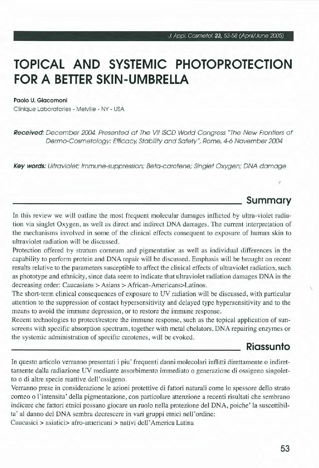# **TOPICAL ANO SYSTEMIC PHOTOPROTECTION FORA BETTER SKIN-UMBRELLA**

#### **Paolo U. Giacomoni**

Clinique Laboratories - Melville - NY - USA

**Received:** December 2004. Presented at The VII ISCD World Congress "The New Frontiers of Dermo-Cosmetology: Efficacy, Stability and Safety", Rome, 4-6 November 2004

**Key words:** Ultraviolet; lmmune-suppression; Beta-carotene; Singlet Oxygen; DNA damage

# **Summary**

*7* 

In this review we will outline the most frequent molecular damages inflicted by ultra-violet radiation via singlet Oxygen, as well as direct and indirect DNA damages. The current interpretation of the mechanisms involved in some of the clinica! effects consequent to exposure of human skin to ultraviolet radiation will be discussed.

Protection offered by stratum corneum and pigmentation as well as individuai differences in the capability to perform protein and DNA repair will be discussed. Emphasis will be brought on recent results relative to the parameters susceptible to affect the clinica! effects of ultraviolet radiation, such as phototype and ethnicity, since data seem to indicate that ultraviolet radiation damages DNA in the decreasing order: Caucasians > Asians > African-Americans>Latinos.

The short-term clinica] consequences of exposure to UV radiation will be discussed, with particular attention to the suppression of contact hypersensitivity and delayed type hypersensitivity and to the means to avoid the immune depression, or to restore the immune response.

Recent technologies to protect/restore the immune response, such as the topical application of sunscreens with specific absorption spectrum, together with metal chelators, DNA repairing enzymes or the systemic administration of specific carotenes, will be evoked.

# **Riassunto**

In questo articolo verranno presentati i piu ' frequenti danni molecolari inflitti direttamente o indirettamente dalla radiazione UV mediante assorbimento immediato o generazione di ossigeno singoletto o di altre specie reattive dell'ossigeno.

Verranno prese in considerazione le azioni protettive di fattori naturali come lo spessore dello strato corneo o J'intensita' della pigmentazione, con particolare attenzione a recenti risultati che sembrano indicare che fattori etnici possano giocare un ruolo nella protezione del DNA, poiche' la suscettibilta' al danno del DNA sembra decrescere in vari gruppi etnici nell ' ordine:

Caucasici > asiatici> afro-americani > nativi dell'America Latina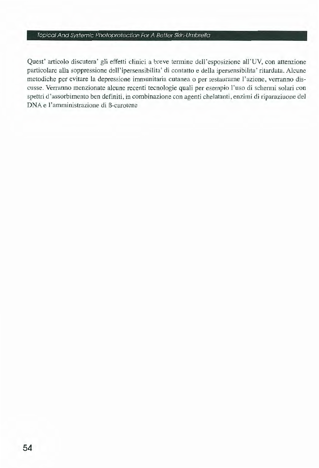#### Topical And Systemic Photoprotection For A Better Skin-Umbrella

Quest' articolo discutera' gli effetti clinici a breve termine dell'esposizione all'UV, con attenzione particolare alla soppressione dell'ipersensibilita' di contatto e della ipersensibilita' ritardata. Alcune metodiche per evitare la depressione immunitaria cutanea o per restaurarne l'azione, verranno discusse. Verranno menzionate alcune recenti tecnologie quali per esempio l'uso di schermi solari con spettri d'assorbimento ben definiti, in combinazione con agenti chelatanti, enzimi di riparaziuone del DNA e l'amministrazione di B-carotene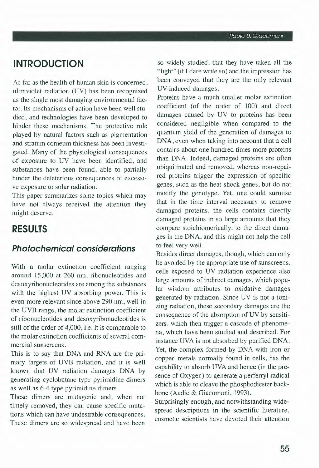# **INTRODUCTION**

As far as the health of human skin is concerned, ultraviolet radiation (UV) has been recognized as the single most damaging environmental factor. Its mechanisms of action have been well studied, and technologies have been developed to hinder these mechanisms. The protective role played by natural factors such as pigmentation and stratum corneum thickness has been investigated. Many of the physiological consequences of exposure to UV have been identified, and substances have been found, able to partially hinder the deleterious consequences of excessive exposure to solar radiation.

This paper summarizes some topics which may have not always received the attention they might deserve.

# **RESULTS**

### **Photochemical considerations**

With a molar extinction coefficient ranging around 15,000 at 260 nm, ribonucleotides and desoxyribonucleotides are among the substances with the highest UV absorbing power. This is even more relevant since above 290 nm, well in the UVB range, the molar extinction coefficient of ribonucleotides and desoxyribonucleotides is stili of the order of 4,000, i.e. it is comparable to the molar extinction coefficients of several commercial sunscreens.

This is to say that DNA and RNA are the primary targets of UVB radiation, and it is well known that UV radiation damages DNA by generating cyclobutane-type pyrimidine dimers as well as 6-4 type pyrimidine dimers.

These dimers are mutagenic and, when not timely removed, they can cause specific mutations which can have undesirable consequences. These dimers are so widespread and have been

so widely studied, that they have taken ali the " light" (if I dare write so) and the impression has been conveyed that they are the only relevant UV-induced damages.

Proteins have a much smaller molar extinction coefficient (of the order of 100) and direct damages caused by UV to proteins has been considered negligible when compared to the quantum yield of the generation of damages to DNA, even when taking into account that a celi contains about one hundred times more proteins than DNA. Indeed, damaged proteins are often ubiquitinated and removed, whereas non-repaired proteins trigger the expression of specific genes, such as the heat shock genes, but do not modify the genotype. Yet, one could surmise that in the time interval necessary to remove damaged proteins, the cells contains directly damaged proteins in so large amounts that they compare stoichiomerically, to the direct damages in the DNA, and this might not help the celi to feel very well.

Besides direct damages, though, which can only be avoided by the appropriate use of sunscreens, cells exposed to UV radiation experience also large amounts of indirect damages, which popular wisdom attributes to oxidative damages generated by radiation. Since UV is not a ionizing radiation, these secondary damages are the consequence of the absorption of UV by sensitizers, which then trigger a cascade of phenomena, which have been studied and described. For instance UVA is not absorbed by purified DNA. Yet, the complex formed by DNA with iron or copper, metals normally found in cells, has the capability to absorb UVA and hence (in the presence of Oxygen) to generate a perferryl radical which is able to cleave the phosphodiester backbone (Audic & Giacomoni, 1993).

Surprisingly enough, and notwithstanding widespread descriptions in the scientific literature, cosmetic scientists have devoted their attention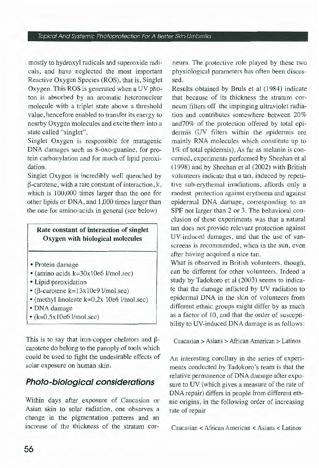#### Topical And Systemic Photoprotection For A Better Skin-Umbrella

mostly to hydroxyl radicals and superoxide radicals, and have neglected the most important Reactive Oxygen Species (ROS), that is, Singlet Oxygen. This ROS is generated when a UV photon is absorbed by an aromatic heteronuclear molecule with a triplet state above a threshold value, hencefore enabled to transfer its energy to nearby Oxygen molecules and excite them into a state called "singlet".

Singlet Oxygen is responsible for mutagenic DNA damages such as 8-oxo-guanine, for protein carbonylation and for much of lipid peroxidation.

Singlet Oxygen is incredibly well quenched by  $\beta$ -carotene, with a rate constant of interaction, k, which is 100,000 times larger than the one for other lipids or DNA, and 1,000 times larger than the one for amino-acids in generai (see below)

### Rate constant of interaction of singlet Oxygen with biological molecules

- Protein damage
- (amino acids  $k=30x10e6$  l/mol.sec)
- Lipid peroxidation
- $\cdot$  ( $\beta$ -carotene k= $13x10e9$  l/mol.sec)
- (methyl linoleate k=0,2x 10e6 l/mol.sec)
- DNA damage
- $\cdot$  (k=0.5x10e6 l/mol.sec)

This is to say that iron-copper chelators and  $\beta$ carotene do belong to the panoply of tools which could be used to fight the undesirable effects of solar exposure on human skin.

# **Photo-biological considerations**

Within days after exposure of Caucasian or Asian skin to solar radiation, one observes a change in the pigmentation patterns and an increase of the thickness of the stratum corneum. The protective role played by these two physiological parameters has often been discussed.

Results obtained by Bruls et al (1984) indicate that because of its thickness the stratum corneum filters off the impinging ultraviolet radiation and contributes somewhere between 20% and70% of the protection offered by total epidermis (UV filters within the epidermis are mainly RNA molecules which constitute up to 1% of total epidermis). As far as melanin is concerned, experiments performed by Sheehan et al ( 1998) and by Sheehan et al (2002) with British volunteers indicate that a tan, induced by repetitive sub-erythemal irradiations, affords only a modest protection against erythema and against epidermal DNA damage, corresponding to an SPF not larger than 2 or 3. The behavioral conclusion of these experiments was that a natural tan does not provide relevant protection against UV-induced damages, and that the use of sunscreens is recommended, when in the sun, even after having acquired a nice tan.

What is observed in British volunteers, though, can be different for other volunteers. Indeed a study by Tadokoro et al (2003) seems to indicate that the damage inflicted by UV radiation to epidermal DNA in the skin of volunteers from different ethnic groups might differ by as much as a factor of 10, and that the order of susceptibility to UV-induced DNA damage is as follows:

Caucasian > Asians > African American > Latinos

An interesting corollary in the series of experiments conducted by Tadokoro's team is that the relative permanence of DNA damage after exposure to UV (which gives a measure of the rate of DNA repair) differs in people from different ethnic origins, in the following order of increasing rate of repair

Caucasian < African American < Asians < Latinos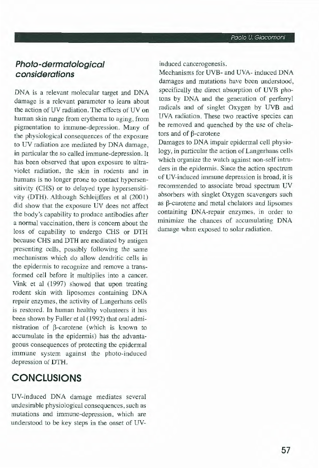# **Photo-dermatological considerations**

DNA is a relevant molecular target and DNA damage is a relevant parameter to leam about the action of UV radiation. The effects of UV on human skin range from erythema to aging, from pigmentation to immune-depression. Many of the physiological consequences of the exposure to UV radiation are mediated by DNA damage, in particular the so called immune-depression. It has been observed that upon exposure to ultraviolet radiation, the skin in rodents and in humans is no longer prone to contact hypersensitivity (CHS) or to delayed type hypersensitivity (DTH). Although Schleijffers et al (2001) did show that the exposure UV does not affect the body's capability to produce antibodies after a normai vaccination, there is concern about the loss of capability to undergo CHS or DTH because CHS and DTH are mediated by antigen presenting cells, possibly following the same mechanisms which do allow dendritic cells in the epidermis to recognize and remove a transformed celi before it multiplies into a cancer. Vink et al (1997) showed that upon treating rodent skin with liposomes containing DNA repair enzymes, the activity of Langerhans cells is restored. In human healthy volunteers it has been shown by Fuller et al ( 1992) that oral administration of  $\beta$ -carotene (which is known to accumulate in the epidermis) has the advantageous consequences of protecting the epidermal immune system against the photo-induced depression of DTH.

# **CONCLUSIONS**

UV-induced DNA damage mediates severa! undesirable physiological consequences, such as mutations and immune-depression, which are understood to be key steps in the onset of UY- induced cancerogenesis.

Mechanisms for UYB- and UVA- induced DNA damages and mutations have been understood, specifically the direct absorption of UVB photons by DNA and the generation of perferryl radicals and of singlet Oxygen by UVB and UVA radiation. These two reactive species can be removed and quenched by the use of chelators and of  $\beta$ -carotene

Damages to DNA impair epidermal celi physiology, in particular the action of Langerhans cells which organize the watch against non-self intruders in the epidermis. Since the action spectrum of UY-induced immune depression is broad, it is recommended to associate broad spectrum UV absorbers with singlet Oxygen scavengers such as  $\beta$ -carotene and metal chelators and lipsomes containing DNA-repair enzymes, in order to minimize the chances of accumulating DNA damage when exposed to solar radiation.